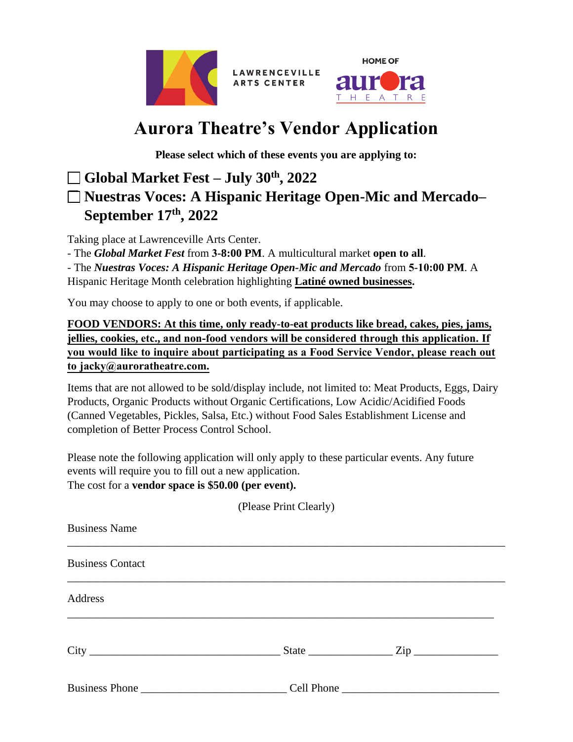



# **Aurora Theatre's Vendor Application**

**LAWRENCEVILLE ARTS CENTER** 

**Please select which of these events you are applying to:**

# ❑ **Global Market Fest – July 30th, 2022** ❑ **Nuestras Voces: A Hispanic Heritage Open-Mic and Mercado– September 17th, 2022**

Taking place at Lawrenceville Arts Center.

- The *Global Market Fest* from **3-8:00 PM**. A multicultural market **open to all**.

- The *Nuestras Voces: A Hispanic Heritage Open-Mic and Mercado* from **5-10:00 PM**. A Hispanic Heritage Month celebration highlighting **Latiné owned businesses.**

You may choose to apply to one or both events, if applicable.

**FOOD VENDORS: At this time, only ready-to-eat products like bread, cakes, pies, jams, jellies, cookies, etc., and non-food vendors will be considered through this application. If you would like to inquire about participating as a Food Service Vendor, please reach out to jacky@auroratheatre.com.**

Items that are not allowed to be sold/display include, not limited to: Meat Products, Eggs, Dairy Products, Organic Products without Organic Certifications, Low Acidic/Acidified Foods (Canned Vegetables, Pickles, Salsa, Etc.) without Food Sales Establishment License and completion of Better Process Control School.

Please note the following application will only apply to these particular events. Any future events will require you to fill out a new application. The cost for a **vendor space is \$50.00 (per event).**

| (Please Print Clearly)                                                                                                                                                                                                         |  |  |  |  |  |
|--------------------------------------------------------------------------------------------------------------------------------------------------------------------------------------------------------------------------------|--|--|--|--|--|
| <b>Business Name</b>                                                                                                                                                                                                           |  |  |  |  |  |
| <b>Business Contact</b>                                                                                                                                                                                                        |  |  |  |  |  |
| Address                                                                                                                                                                                                                        |  |  |  |  |  |
|                                                                                                                                                                                                                                |  |  |  |  |  |
| Business Phone Cell Phone Cell Phone Cell Phone Cell Phone Cell Phone Cell Phone Cell Phone Cell Phone Cell Phone Cell Phone Cell Phone Cell Phone Cell Phone Cell Phone Cell Phone Cell Phone Cell Phone Cell Phone Cell Phon |  |  |  |  |  |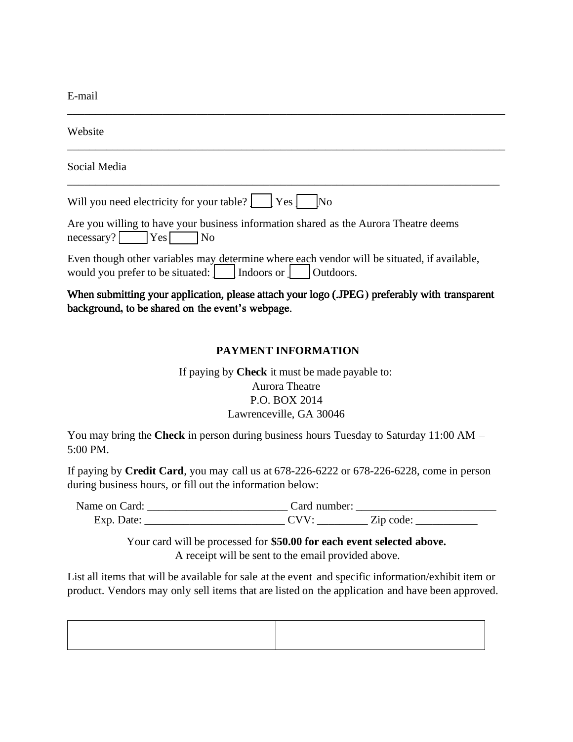E-mail

| Website                                                                                                                                          |
|--------------------------------------------------------------------------------------------------------------------------------------------------|
| Social Media                                                                                                                                     |
| Will you need electricity for your table?   Yes<br>$\overline{\rm No}$                                                                           |
| Are you willing to have your business information shared as the Aurora Theatre deems<br>$\text{necessary?}$ Yes<br>$\neg$ No                     |
| Even though other variables may determine where each vendor will be situated, if available,                                                      |
| When submitting your application, please attach your logo (JPEG) preferably with transparent<br>background, to be shared on the event's webpage. |
| <b>PAYMENT INFORMATION</b>                                                                                                                       |

\_\_\_\_\_\_\_\_\_\_\_\_\_\_\_\_\_\_\_\_\_\_\_\_\_\_\_\_\_\_\_\_\_\_\_\_\_\_\_\_\_\_\_\_\_\_\_\_\_\_\_\_\_\_\_\_\_\_\_\_\_\_\_\_\_\_\_\_\_\_\_\_\_\_\_\_\_\_

# If paying by **Check** it must be made payable to: Aurora Theatre P.O. BOX 2014 Lawrenceville, GA 30046

You may bring the **Check** in person during business hours Tuesday to Saturday 11:00 AM – 5:00 PM.

If paying by **Credit Card**, you may call us at 678-226-6222 or 678-226-6228, come in person during business hours, or fill out the information below:

Name on Card: \_\_\_\_\_\_\_\_\_\_\_\_\_\_\_\_\_\_\_\_\_\_\_\_\_ Card number: \_\_\_\_\_\_\_\_\_\_\_\_\_\_\_\_\_\_\_\_\_\_\_\_\_ Exp. Date:  $CVV:$   $Zip code:$ 

> Your card will be processed for **\$50.00 for each event selected above.**  A receipt will be sent to the email provided above.

List all items that will be available for sale at the event and specific information/exhibit item or product. Vendors may only sell items that are listed on the application and have been approved.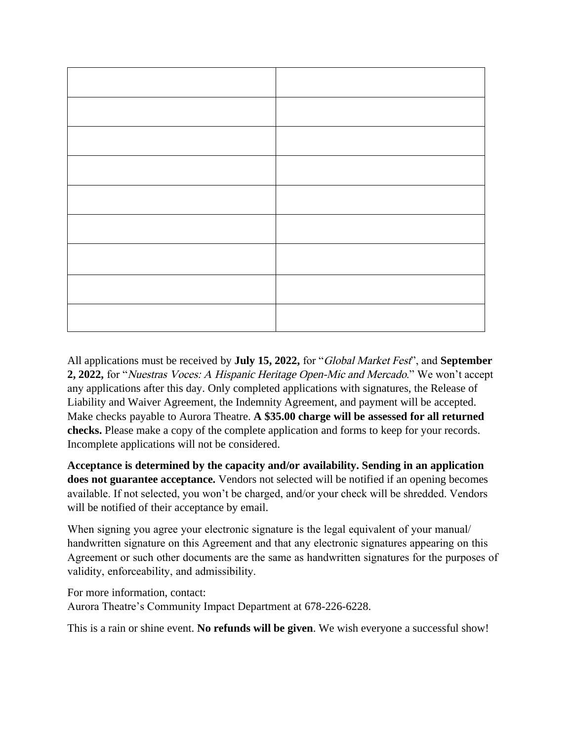All applications must be received by **July 15, 2022,** for "Global Market Fest", and **September 2, 2022,** for "Nuestras Voces: A Hispanic Heritage Open-Mic and Mercado." We won't accept any applications after this day. Only completed applications with signatures, the Release of Liability and Waiver Agreement, the Indemnity Agreement, and payment will be accepted. Make checks payable to Aurora Theatre. **A \$35.00 charge will be assessed for all returned checks.** Please make a copy of the complete application and forms to keep for your records. Incomplete applications will not be considered.

**Acceptance is determined by the capacity and/or availability. Sending in an application does not guarantee acceptance.** Vendors not selected will be notified if an opening becomes available. If not selected, you won't be charged, and/or your check will be shredded. Vendors will be notified of their acceptance by email.

When signing you agree your electronic signature is the legal equivalent of your manual handwritten signature on this Agreement and that any electronic signatures appearing on this Agreement or such other documents are the same as handwritten signatures for the purposes of validity, enforceability, and admissibility.

For more information, contact: Aurora Theatre's Community Impact Department at 678-226-6228.

This is a rain or shine event. **No refunds will be given**. We wish everyone a successful show!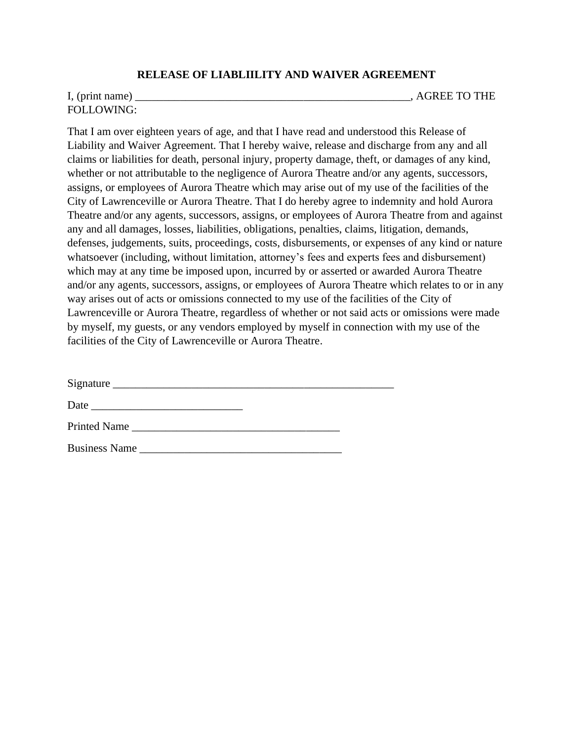#### **RELEASE OF LIABLIILITY AND WAIVER AGREEMENT**

FOLLOWING:

I, (print name) \_\_\_\_\_\_\_\_\_\_\_\_\_\_\_\_\_\_\_\_\_\_\_\_\_\_\_\_\_\_\_\_\_\_\_\_\_\_\_\_\_\_\_\_\_\_\_\_\_, AGREE TO THE

That I am over eighteen years of age, and that I have read and understood this Release of Liability and Waiver Agreement. That I hereby waive, release and discharge from any and all claims or liabilities for death, personal injury, property damage, theft, or damages of any kind, whether or not attributable to the negligence of Aurora Theatre and/or any agents, successors, assigns, or employees of Aurora Theatre which may arise out of my use of the facilities of the City of Lawrenceville or Aurora Theatre. That I do hereby agree to indemnity and hold Aurora Theatre and/or any agents, successors, assigns, or employees of Aurora Theatre from and against any and all damages, losses, liabilities, obligations, penalties, claims, litigation, demands, defenses, judgements, suits, proceedings, costs, disbursements, or expenses of any kind or nature whatsoever (including, without limitation, attorney's fees and experts fees and disbursement) which may at any time be imposed upon, incurred by or asserted or awarded Aurora Theatre and/or any agents, successors, assigns, or employees of Aurora Theatre which relates to or in any way arises out of acts or omissions connected to my use of the facilities of the City of Lawrenceville or Aurora Theatre, regardless of whether or not said acts or omissions were made by myself, my guests, or any vendors employed by myself in connection with my use of the facilities of the City of Lawrenceville or Aurora Theatre.

| Signature           |  |
|---------------------|--|
| Date                |  |
| <b>Printed Name</b> |  |

Business Name \_\_\_\_\_\_\_\_\_\_\_\_\_\_\_\_\_\_\_\_\_\_\_\_\_\_\_\_\_\_\_\_\_\_\_\_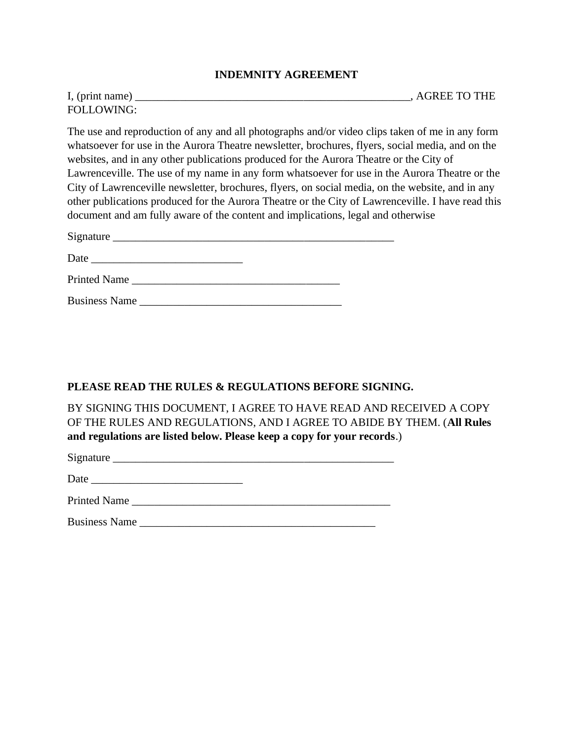#### **INDEMNITY AGREEMENT**

| I, (print name)   | , AGREE TO THE |
|-------------------|----------------|
| <b>FOLLOWING:</b> |                |

The use and reproduction of any and all photographs and/or video clips taken of me in any form whatsoever for use in the Aurora Theatre newsletter, brochures, flyers, social media, and on the websites, and in any other publications produced for the Aurora Theatre or the City of Lawrenceville. The use of my name in any form whatsoever for use in the Aurora Theatre or the City of Lawrenceville newsletter, brochures, flyers, on social media, on the website, and in any other publications produced for the Aurora Theatre or the City of Lawrenceville. I have read this document and am fully aware of the content and implications, legal and otherwise

| Signature           |  |  |
|---------------------|--|--|
| Date                |  |  |
| <b>Printed Name</b> |  |  |

#### **PLEASE READ THE RULES & REGULATIONS BEFORE SIGNING.**

BY SIGNING THIS DOCUMENT, I AGREE TO HAVE READ AND RECEIVED A COPY OF THE RULES AND REGULATIONS, AND I AGREE TO ABIDE BY THEM. (**All Rules and regulations are listed below. Please keep a copy for your records**.)

| Signature                          |  |  |  |
|------------------------------------|--|--|--|
|                                    |  |  |  |
| <b>STATES OF ALL AND RESIDENTS</b> |  |  |  |

| r<br>$-1$ |  |  |  |  |
|-----------|--|--|--|--|
|           |  |  |  |  |

Printed Name

Business Name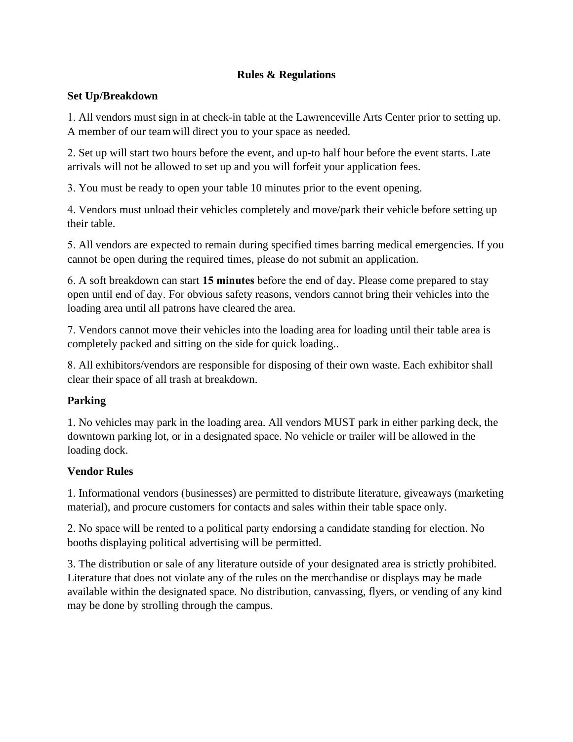#### **Rules & Regulations**

#### **Set Up/Breakdown**

1. All vendors must sign in at check-in table at the Lawrenceville Arts Center prior to setting up. A member of our teamwill direct you to your space as needed.

2. Set up will start two hours before the event, and up-to half hour before the event starts. Late arrivals will not be allowed to set up and you will forfeit your application fees.

3. You must be ready to open your table 10 minutes prior to the event opening.

4. Vendors must unload their vehicles completely and move/park their vehicle before setting up their table.

5. All vendors are expected to remain during specified times barring medical emergencies. If you cannot be open during the required times, please do not submit an application.

6. A soft breakdown can start **15 minutes** before the end of day. Please come prepared to stay open until end of day. For obvious safety reasons, vendors cannot bring their vehicles into the loading area until all patrons have cleared the area.

7. Vendors cannot move their vehicles into the loading area for loading until their table area is completely packed and sitting on the side for quick loading..

8. All exhibitors/vendors are responsible for disposing of their own waste. Each exhibitor shall clear their space of all trash at breakdown.

## **Parking**

1. No vehicles may park in the loading area. All vendors MUST park in either parking deck, the downtown parking lot, or in a designated space. No vehicle or trailer will be allowed in the loading dock.

## **Vendor Rules**

1. Informational vendors (businesses) are permitted to distribute literature, giveaways (marketing material), and procure customers for contacts and sales within their table space only.

2. No space will be rented to a political party endorsing a candidate standing for election. No booths displaying political advertising will be permitted.

3. The distribution or sale of any literature outside of your designated area is strictly prohibited. Literature that does not violate any of the rules on the merchandise or displays may be made available within the designated space. No distribution, canvassing, flyers, or vending of any kind may be done by strolling through the campus.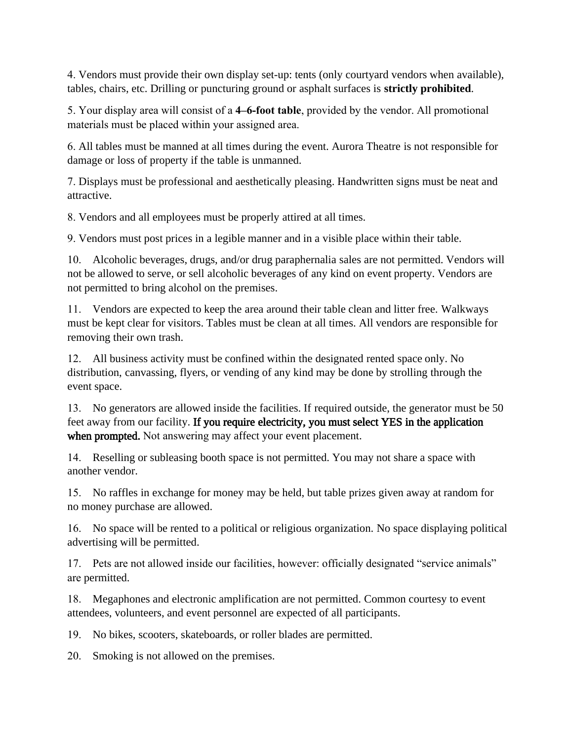4. Vendors must provide their own display set-up: tents (only courtyard vendors when available), tables, chairs, etc. Drilling or puncturing ground or asphalt surfaces is **strictly prohibited**.

5. Your display area will consist of a **4–6-foot table**, provided by the vendor. All promotional materials must be placed within your assigned area.

6. All tables must be manned at all times during the event. Aurora Theatre is not responsible for damage or loss of property if the table is unmanned.

7. Displays must be professional and aesthetically pleasing. Handwritten signs must be neat and attractive.

8. Vendors and all employees must be properly attired at all times.

9. Vendors must post prices in a legible manner and in a visible place within their table.

10. Alcoholic beverages, drugs, and/or drug paraphernalia sales are not permitted. Vendors will not be allowed to serve, or sell alcoholic beverages of any kind on event property. Vendors are not permitted to bring alcohol on the premises.

11. Vendors are expected to keep the area around their table clean and litter free. Walkways must be kept clear for visitors. Tables must be clean at all times. All vendors are responsible for removing their own trash.

12. All business activity must be confined within the designated rented space only. No distribution, canvassing, flyers, or vending of any kind may be done by strolling through the event space.

13. No generators are allowed inside the facilities. If required outside, the generator must be 50 feet away from our facility. If you require electricity, you must select YES in the application when prompted. Not answering may affect your event placement.

14. Reselling or subleasing booth space is not permitted. You may not share a space with another vendor.

15. No raffles in exchange for money may be held, but table prizes given away at random for no money purchase are allowed.

16. No space will be rented to a political or religious organization. No space displaying political advertising will be permitted.

17. Pets are not allowed inside our facilities, however: officially designated "service animals" are permitted.

18. Megaphones and electronic amplification are not permitted. Common courtesy to event attendees, volunteers, and event personnel are expected of all participants.

19. No bikes, scooters, skateboards, or roller blades are permitted.

20. Smoking is not allowed on the premises.